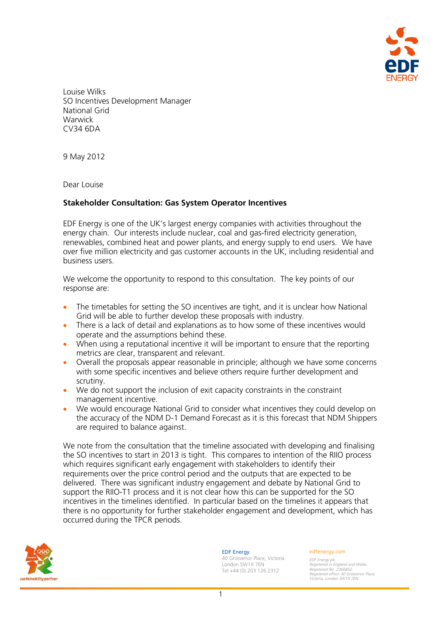

Louise Wilks SO Incentives Development Manager National Grid **Warwick** CV34 6DA

9 May 2012

Dear Louise

# **Stakeholder Consultation: Gas System Operator Incentives**

EDF Energy is one of the UK's largest energy companies with activities throughout the energy chain. Our interests include nuclear, coal and gas-fired electricity generation, renewables, combined heat and power plants, and energy supply to end users. We have over five million electricity and gas customer accounts in the UK, including residential and business users.

We welcome the opportunity to respond to this consultation. The key points of our response are:

- The timetables for setting the SO incentives are tight, and it is unclear how National Grid will be able to further develop these proposals with industry.
- There is a lack of detail and explanations as to how some of these incentives would operate and the assumptions behind these.
- When using a reputational incentive it will be important to ensure that the reporting metrics are clear, transparent and relevant.
- Overall the proposals appear reasonable in principle; although we have some concerns with some specific incentives and believe others require further development and scrutiny.
- We do not support the inclusion of exit capacity constraints in the constraint management incentive.
- We would encourage National Grid to consider what incentives they could develop on the accuracy of the NDM D-1 Demand Forecast as it is this forecast that NDM Shippers are required to balance against.

We note from the consultation that the timeline associated with developing and finalising the SO incentives to start in 2013 is tight. This compares to intention of the RIIO process which requires significant early engagement with stakeholders to identify their requirements over the price control period and the outputs that are expected to be delivered. There was significant industry engagement and debate by National Grid to support the RIIO-T1 process and it is not clear how this can be supported for the SO incentives in the timelines identified. In particular based on the timelines it appears that there is no opportunity for further stakeholder engagement and development, which has occurred during the TPCR periods.



EDF Energy

40 Grosvenor Place, Victoria London SW1X 7EN Tel +44 (0) 203 126 2312

#### edfenergy.com

EDF Energy plc. Registered in England and Wales. Registered No. 2366852. Registered office: 40 Grosvenor Place, Victoria, London SW1X 7EN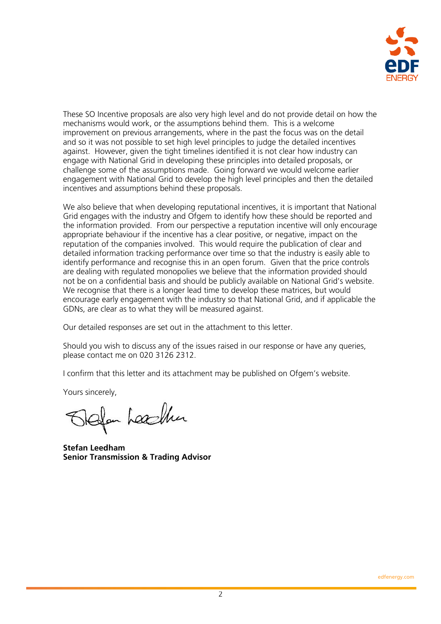

These SO Incentive proposals are also very high level and do not provide detail on how the mechanisms would work, or the assumptions behind them. This is a welcome improvement on previous arrangements, where in the past the focus was on the detail and so it was not possible to set high level principles to judge the detailed incentives against. However, given the tight timelines identified it is not clear how industry can engage with National Grid in developing these principles into detailed proposals, or challenge some of the assumptions made. Going forward we would welcome earlier engagement with National Grid to develop the high level principles and then the detailed incentives and assumptions behind these proposals.

We also believe that when developing reputational incentives, it is important that National Grid engages with the industry and Ofgem to identify how these should be reported and the information provided. From our perspective a reputation incentive will only encourage appropriate behaviour if the incentive has a clear positive, or negative, impact on the reputation of the companies involved. This would require the publication of clear and detailed information tracking performance over time so that the industry is easily able to identify performance and recognise this in an open forum. Given that the price controls are dealing with regulated monopolies we believe that the information provided should not be on a confidential basis and should be publicly available on National Grid's website. We recognise that there is a longer lead time to develop these matrices, but would encourage early engagement with the industry so that National Grid, and if applicable the GDNs, are clear as to what they will be measured against.

Our detailed responses are set out in the attachment to this letter.

Should you wish to discuss any of the issues raised in our response or have any queries, please contact me on 020 3126 2312.

I confirm that this letter and its attachment may be published on Ofgem's website.

Yours sincerely,

Ifan Leachter

**Stefan Leedham Senior Transmission & Trading Advisor**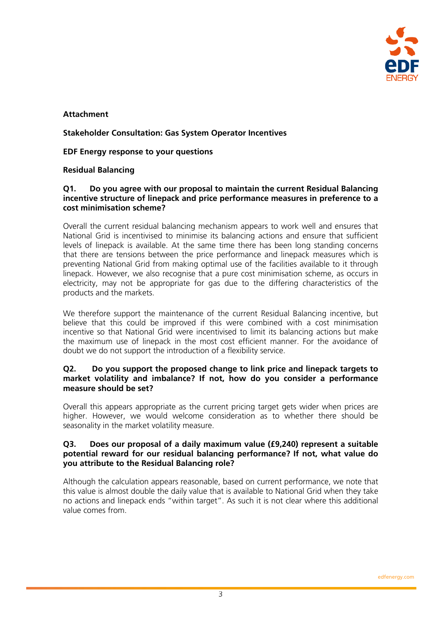

# **Attachment**

# **Stakeholder Consultation: Gas System Operator Incentives**

**EDF Energy response to your questions** 

# **Residual Balancing**

## **Q1. Do you agree with our proposal to maintain the current Residual Balancing incentive structure of linepack and price performance measures in preference to a cost minimisation scheme?**

Overall the current residual balancing mechanism appears to work well and ensures that National Grid is incentivised to minimise its balancing actions and ensure that sufficient levels of linepack is available. At the same time there has been long standing concerns that there are tensions between the price performance and linepack measures which is preventing National Grid from making optimal use of the facilities available to it through linepack. However, we also recognise that a pure cost minimisation scheme, as occurs in electricity, may not be appropriate for gas due to the differing characteristics of the products and the markets.

We therefore support the maintenance of the current Residual Balancing incentive, but believe that this could be improved if this were combined with a cost minimisation incentive so that National Grid were incentivised to limit its balancing actions but make the maximum use of linepack in the most cost efficient manner. For the avoidance of doubt we do not support the introduction of a flexibility service.

# **Q2. Do you support the proposed change to link price and linepack targets to market volatility and imbalance? If not, how do you consider a performance measure should be set?**

Overall this appears appropriate as the current pricing target gets wider when prices are higher. However, we would welcome consideration as to whether there should be seasonality in the market volatility measure.

# **Q3. Does our proposal of a daily maximum value (£9,240) represent a suitable potential reward for our residual balancing performance? If not, what value do you attribute to the Residual Balancing role?**

Although the calculation appears reasonable, based on current performance, we note that this value is almost double the daily value that is available to National Grid when they take no actions and linepack ends "within target". As such it is not clear where this additional value comes from.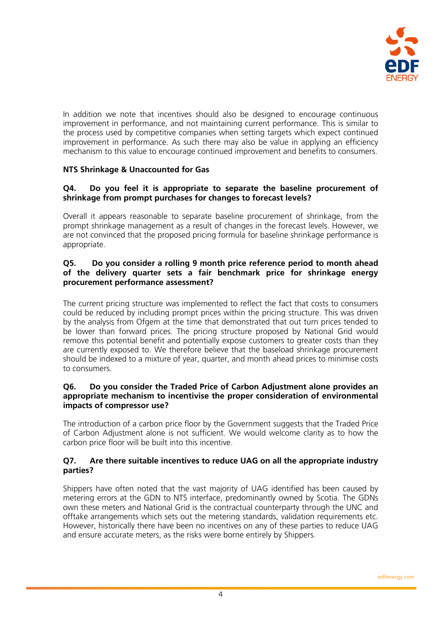

In addition we note that incentives should also be designed to encourage continuous improvement in performance, and not maintaining current performance. This is similar to the process used by competitive companies when setting targets which expect continued improvement in performance. As such there may also be value in applying an efficiency mechanism to this value to encourage continued improvement and benefits to consumers.

# **NTS Shrinkage & Unaccounted for Gas**

# **Q4. Do you feel it is appropriate to separate the baseline procurement of shrinkage from prompt purchases for changes to forecast levels?**

Overall it appears reasonable to separate baseline procurement of shrinkage, from the prompt shrinkage management as a result of changes in the forecast levels. However, we are not convinced that the proposed pricing formula for baseline shrinkage performance is appropriate.

# **Q5. Do you consider a rolling 9 month price reference period to month ahead of the delivery quarter sets a fair benchmark price for shrinkage energy procurement performance assessment?**

The current pricing structure was implemented to reflect the fact that costs to consumers could be reduced by including prompt prices within the pricing structure. This was driven by the analysis from Ofgem at the time that demonstrated that out turn prices tended to be lower than forward prices. The pricing structure proposed by National Grid would remove this potential benefit and potentially expose customers to greater costs than they are currently exposed to. We therefore believe that the baseload shrinkage procurement should be indexed to a mixture of year, quarter, and month ahead prices to minimise costs to consumers.

# **Q6. Do you consider the Traded Price of Carbon Adjustment alone provides an appropriate mechanism to incentivise the proper consideration of environmental impacts of compressor use?**

The introduction of a carbon price floor by the Government suggests that the Traded Price of Carbon Adjustment alone is not sufficient. We would welcome clarity as to how the carbon price floor will be built into this incentive.

# **Q7. Are there suitable incentives to reduce UAG on all the appropriate industry parties?**

Shippers have often noted that the vast majority of UAG identified has been caused by metering errors at the GDN to NTS interface, predominantly owned by Scotia. The GDNs own these meters and National Grid is the contractual counterparty through the UNC and offtake arrangements which sets out the metering standards, validation requirements etc. However, historically there have been no incentives on any of these parties to reduce UAG and ensure accurate meters, as the risks were borne entirely by Shippers.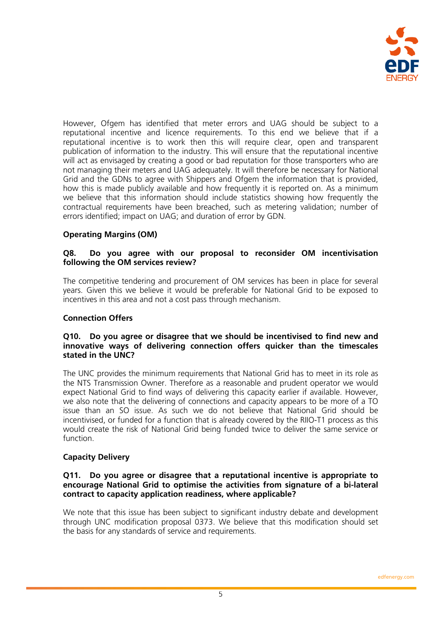

However, Ofgem has identified that meter errors and UAG should be subject to a reputational incentive and licence requirements. To this end we believe that if a reputational incentive is to work then this will require clear, open and transparent publication of information to the industry. This will ensure that the reputational incentive will act as envisaged by creating a good or bad reputation for those transporters who are not managing their meters and UAG adequately. It will therefore be necessary for National Grid and the GDNs to agree with Shippers and Ofgem the information that is provided, how this is made publicly available and how frequently it is reported on. As a minimum we believe that this information should include statistics showing how frequently the contractual requirements have been breached, such as metering validation; number of errors identified; impact on UAG; and duration of error by GDN.

# **Operating Margins (OM)**

# **Q8. Do you agree with our proposal to reconsider OM incentivisation following the OM services review?**

The competitive tendering and procurement of OM services has been in place for several years. Given this we believe it would be preferable for National Grid to be exposed to incentives in this area and not a cost pass through mechanism.

# **Connection Offers**

## **Q10. Do you agree or disagree that we should be incentivised to find new and innovative ways of delivering connection offers quicker than the timescales stated in the UNC?**

The UNC provides the minimum requirements that National Grid has to meet in its role as the NTS Transmission Owner. Therefore as a reasonable and prudent operator we would expect National Grid to find ways of delivering this capacity earlier if available. However, we also note that the delivering of connections and capacity appears to be more of a TO issue than an SO issue. As such we do not believe that National Grid should be incentivised, or funded for a function that is already covered by the RIIO-T1 process as this would create the risk of National Grid being funded twice to deliver the same service or function.

# **Capacity Delivery**

#### **Q11. Do you agree or disagree that a reputational incentive is appropriate to encourage National Grid to optimise the activities from signature of a bi-lateral contract to capacity application readiness, where applicable?**

We note that this issue has been subject to significant industry debate and development through UNC modification proposal 0373. We believe that this modification should set the basis for any standards of service and requirements.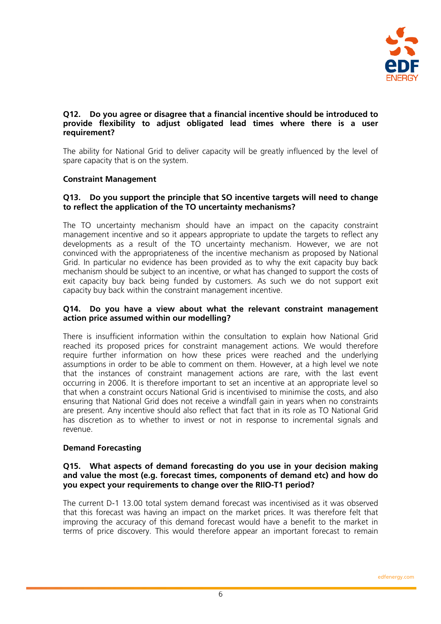

# **Q12. Do you agree or disagree that a financial incentive should be introduced to provide flexibility to adjust obligated lead times where there is a user requirement?**

The ability for National Grid to deliver capacity will be greatly influenced by the level of spare capacity that is on the system.

# **Constraint Management**

# **Q13. Do you support the principle that SO incentive targets will need to change to reflect the application of the TO uncertainty mechanisms?**

The TO uncertainty mechanism should have an impact on the capacity constraint management incentive and so it appears appropriate to update the targets to reflect any developments as a result of the TO uncertainty mechanism. However, we are not convinced with the appropriateness of the incentive mechanism as proposed by National Grid. In particular no evidence has been provided as to why the exit capacity buy back mechanism should be subject to an incentive, or what has changed to support the costs of exit capacity buy back being funded by customers. As such we do not support exit capacity buy back within the constraint management incentive.

# **Q14. Do you have a view about what the relevant constraint management action price assumed within our modelling?**

There is insufficient information within the consultation to explain how National Grid reached its proposed prices for constraint management actions. We would therefore require further information on how these prices were reached and the underlying assumptions in order to be able to comment on them. However, at a high level we note that the instances of constraint management actions are rare, with the last event occurring in 2006. It is therefore important to set an incentive at an appropriate level so that when a constraint occurs National Grid is incentivised to minimise the costs, and also ensuring that National Grid does not receive a windfall gain in years when no constraints are present. Any incentive should also reflect that fact that in its role as TO National Grid has discretion as to whether to invest or not in response to incremental signals and revenue.

# **Demand Forecasting**

## **Q15. What aspects of demand forecasting do you use in your decision making and value the most (e.g. forecast times, components of demand etc) and how do you expect your requirements to change over the RIIO-T1 period?**

The current D-1 13.00 total system demand forecast was incentivised as it was observed that this forecast was having an impact on the market prices. It was therefore felt that improving the accuracy of this demand forecast would have a benefit to the market in terms of price discovery. This would therefore appear an important forecast to remain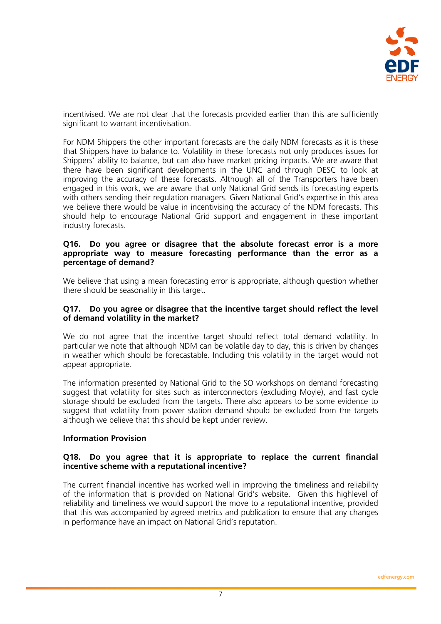

incentivised. We are not clear that the forecasts provided earlier than this are sufficiently significant to warrant incentivisation.

For NDM Shippers the other important forecasts are the daily NDM forecasts as it is these that Shippers have to balance to. Volatility in these forecasts not only produces issues for Shippers' ability to balance, but can also have market pricing impacts. We are aware that there have been significant developments in the UNC and through DESC to look at improving the accuracy of these forecasts. Although all of the Transporters have been engaged in this work, we are aware that only National Grid sends its forecasting experts with others sending their regulation managers. Given National Grid's expertise in this area we believe there would be value in incentivising the accuracy of the NDM forecasts. This should help to encourage National Grid support and engagement in these important industry forecasts.

#### **Q16. Do you agree or disagree that the absolute forecast error is a more appropriate way to measure forecasting performance than the error as a percentage of demand?**

We believe that using a mean forecasting error is appropriate, although question whether there should be seasonality in this target.

# **Q17. Do you agree or disagree that the incentive target should reflect the level of demand volatility in the market?**

We do not agree that the incentive target should reflect total demand volatility. In particular we note that although NDM can be volatile day to day, this is driven by changes in weather which should be forecastable. Including this volatility in the target would not appear appropriate.

The information presented by National Grid to the SO workshops on demand forecasting suggest that volatility for sites such as interconnectors (excluding Moyle), and fast cycle storage should be excluded from the targets. There also appears to be some evidence to suggest that volatility from power station demand should be excluded from the targets although we believe that this should be kept under review.

# **Information Provision**

### **Q18. Do you agree that it is appropriate to replace the current financial incentive scheme with a reputational incentive?**

The current financial incentive has worked well in improving the timeliness and reliability of the information that is provided on National Grid's website. Given this highlevel of reliability and timeliness we would support the move to a reputational incentive, provided that this was accompanied by agreed metrics and publication to ensure that any changes in performance have an impact on National Grid's reputation.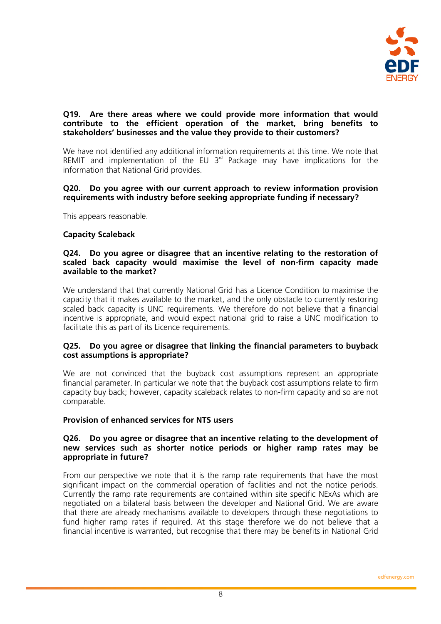

# **Q19. Are there areas where we could provide more information that would contribute to the efficient operation of the market, bring benefits to stakeholders' businesses and the value they provide to their customers?**

We have not identified any additional information requirements at this time. We note that REMIT and implementation of the EU  $3<sup>rd</sup>$  Package may have implications for the information that National Grid provides.

# **Q20. Do you agree with our current approach to review information provision requirements with industry before seeking appropriate funding if necessary?**

This appears reasonable.

# **Capacity Scaleback**

### **Q24. Do you agree or disagree that an incentive relating to the restoration of scaled back capacity would maximise the level of non-firm capacity made available to the market?**

We understand that that currently National Grid has a Licence Condition to maximise the capacity that it makes available to the market, and the only obstacle to currently restoring scaled back capacity is UNC requirements. We therefore do not believe that a financial incentive is appropriate, and would expect national grid to raise a UNC modification to facilitate this as part of its Licence requirements.

# **Q25. Do you agree or disagree that linking the financial parameters to buyback cost assumptions is appropriate?**

We are not convinced that the buyback cost assumptions represent an appropriate financial parameter. In particular we note that the buyback cost assumptions relate to firm capacity buy back; however, capacity scaleback relates to non-firm capacity and so are not comparable.

# **Provision of enhanced services for NTS users**

## **Q26. Do you agree or disagree that an incentive relating to the development of new services such as shorter notice periods or higher ramp rates may be appropriate in future?**

From our perspective we note that it is the ramp rate requirements that have the most significant impact on the commercial operation of facilities and not the notice periods. Currently the ramp rate requirements are contained within site specific NExAs which are negotiated on a bilateral basis between the developer and National Grid. We are aware that there are already mechanisms available to developers through these negotiations to fund higher ramp rates if required. At this stage therefore we do not believe that a financial incentive is warranted, but recognise that there may be benefits in National Grid